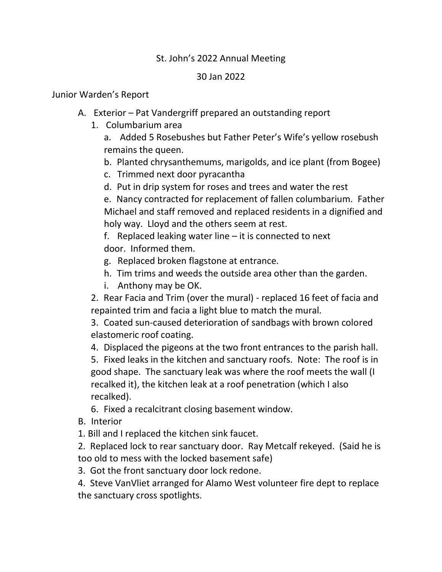## St. John's 2022 Annual Meeting

## 30 Jan 2022

## Junior Warden's Report

- A. Exterior Pat Vandergriff prepared an outstanding report
	- 1. Columbarium area

a. Added 5 Rosebushes but Father Peter's Wife's yellow rosebush remains the queen.

b. Planted chrysanthemums, marigolds, and ice plant (from Bogee)

- c. Trimmed next door pyracantha
- d. Put in drip system for roses and trees and water the rest

e. Nancy contracted for replacement of fallen columbarium. Father Michael and staff removed and replaced residents in a dignified and holy way. Lloyd and the others seem at rest.

f. Replaced leaking water line – it is connected to next door. Informed them.

- g. Replaced broken flagstone at entrance.
- h. Tim trims and weeds the outside area other than the garden.
- i. Anthony may be OK.

2. Rear Facia and Trim (over the mural) - replaced 16 feet of facia and repainted trim and facia a light blue to match the mural.

3. Coated sun-caused deterioration of sandbags with brown colored elastomeric roof coating.

4. Displaced the pigeons at the two front entrances to the parish hall.

5. Fixed leaks in the kitchen and sanctuary roofs. Note: The roof is in good shape. The sanctuary leak was where the roof meets the wall (I recalked it), the kitchen leak at a roof penetration (which I also recalked).

6. Fixed a recalcitrant closing basement window.

B. Interior

1. Bill and I replaced the kitchen sink faucet.

2. Replaced lock to rear sanctuary door. Ray Metcalf rekeyed. (Said he is too old to mess with the locked basement safe)

3. Got the front sanctuary door lock redone.

4. Steve VanVliet arranged for Alamo West volunteer fire dept to replace the sanctuary cross spotlights.